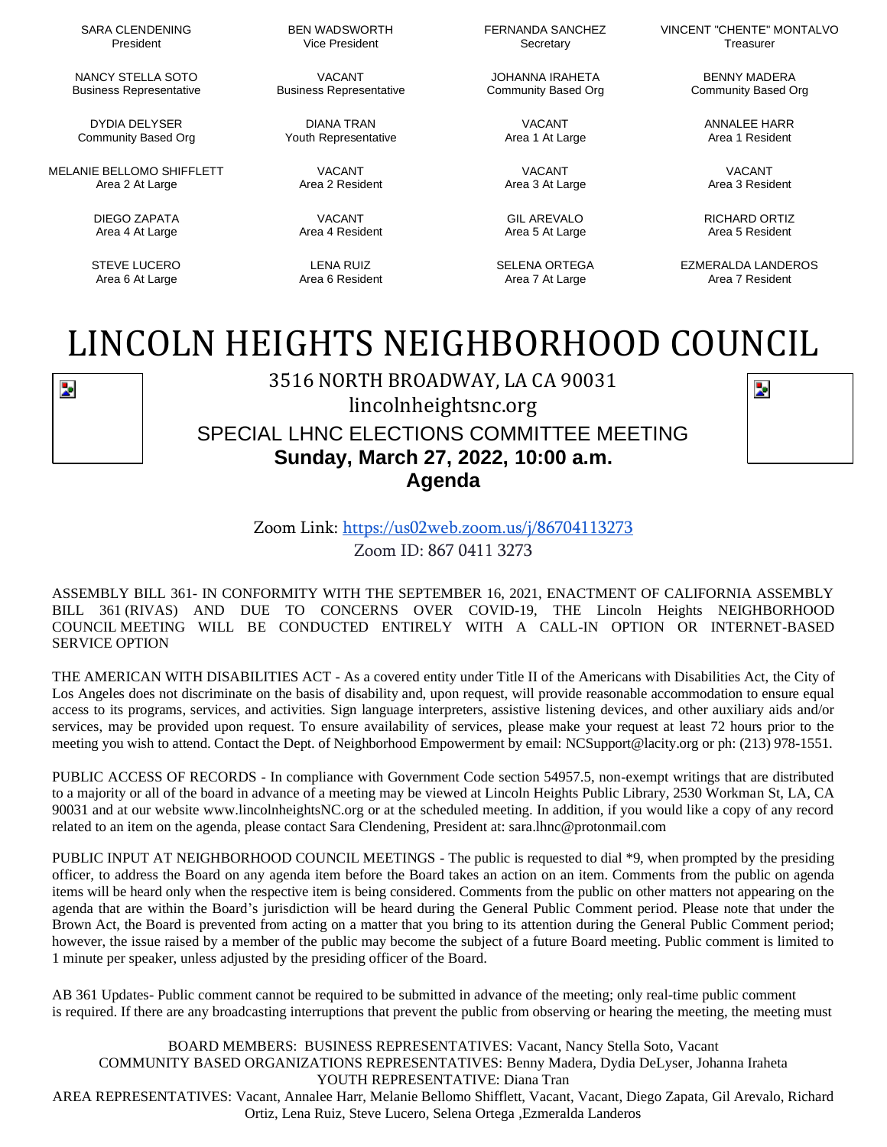SARA CLENDENING President

NANCY STELLA SOTO Business Representative

DYDIA DELYSER Community Based Org

MELANIE BELLOMO SHIFFLETT Area 2 At Large

> DIEGO ZAPATA Area 4 At Large

STEVE LUCERO Area 6 At Large

BEN WADSWORTH Vice President

VACANT Business Representative

DIANA TRAN Youth Representative

> VACANT Area 2 Resident

VACANT Area 4 Resident

LENA RUIZ Area 6 Resident FERNANDA SANCHEZ Secretary

JOHANNA IRAHETA Community Based Org

> VACANT Area 1 At Large

VACANT Area 3 At Large

GIL AREVALO Area 5 At Large

SELENA ORTEGA Area 7 At Large

VINCENT "CHENTE" MONTALVO Treasurer

> BENNY MADERA Community Based Org

> > ANNALEE HARR Area 1 Resident

VACANT Area 3 Resident

RICHARD ORTIZ Area 5 Resident

EZMERALDA LANDEROS Area 7 Resident

## LINCOLN HEIGHTS NEIGHBORHOOD COUNCIL



3516 NORTH BROADWAY, LA CA 90031 lincolnheightsnc.org SPECIAL LHNC ELECTIONS COMMITTEE MEETING

**Sunday, March 27, 2022, 10:00 a.m. Agenda**



Zoom Link: <https://us02web.zoom.us/j/86704113273> Zoom ID: 867 0411 3273

ASSEMBLY BILL 361- IN CONFORMITY WITH THE SEPTEMBER 16, 2021, ENACTMENT OF CALIFORNIA ASSEMBLY BILL 361 (RIVAS) AND DUE TO CONCERNS OVER COVID-19, THE Lincoln Heights NEIGHBORHOOD COUNCIL MEETING WILL BE CONDUCTED ENTIRELY WITH A CALL-IN OPTION OR INTERNET-BASED SERVICE OPTION

THE AMERICAN WITH DISABILITIES ACT - As a covered entity under Title II of the Americans with Disabilities Act, the City of Los Angeles does not discriminate on the basis of disability and, upon request, will provide reasonable accommodation to ensure equal access to its programs, services, and activities. Sign language interpreters, assistive listening devices, and other auxiliary aids and/or services, may be provided upon request. To ensure availability of services, please make your request at least 72 hours prior to the meeting you wish to attend. Contact the Dept. of Neighborhood Empowerment by email: [NCSupport@lacity.org](mailto:NCSupport@lacity.org) or ph: (213) 978-1551.

PUBLIC ACCESS OF RECORDS - In compliance with Government Code section 54957.5, non-exempt writings that are distributed to a majority or all of the board in advance of a meeting may be viewed at Lincoln Heights Public Library, 2530 Workman St, LA, CA 90031 and at our website [www.lincolnheightsNC.org](http://www.lincolnheightsnc.org/) or at the scheduled meeting. In addition, if you would like a copy of any record related to an item on the agenda, please contact Sara Clendening, President at: [sara.lhnc@protonmail.com](mailto:sara.lhnc@protonmail.com)

PUBLIC INPUT AT NEIGHBORHOOD COUNCIL MEETINGS - The public is requested to dial \*9, when prompted by the presiding officer, to address the Board on any agenda item before the Board takes an action on an item. Comments from the public on agenda items will be heard only when the respective item is being considered. Comments from the public on other matters not appearing on the agenda that are within the Board's jurisdiction will be heard during the General Public Comment period. Please note that under the Brown Act, the Board is prevented from acting on a matter that you bring to its attention during the General Public Comment period; however, the issue raised by a member of the public may become the subject of a future Board meeting. Public comment is limited to 1 minute per speaker, unless adjusted by the presiding officer of the Board.

AB 361 Updates- Public comment cannot be required to be submitted in advance of the meeting; only real-time public comment is required. If there are any broadcasting interruptions that prevent the public from observing or hearing the meeting, the meeting must

BOARD MEMBERS: BUSINESS REPRESENTATIVES: Vacant, Nancy Stella Soto, Vacant COMMUNITY BASED ORGANIZATIONS REPRESENTATIVES: Benny Madera, Dydia DeLyser, Johanna Iraheta YOUTH REPRESENTATIVE: Diana Tran AREA REPRESENTATIVES: Vacant, Annalee Harr, Melanie Bellomo Shifflett, Vacant, Vacant, Diego Zapata, Gil Arevalo, Richard Ortiz, Lena Ruiz, Steve Lucero, Selena Ortega ,Ezmeralda Landeros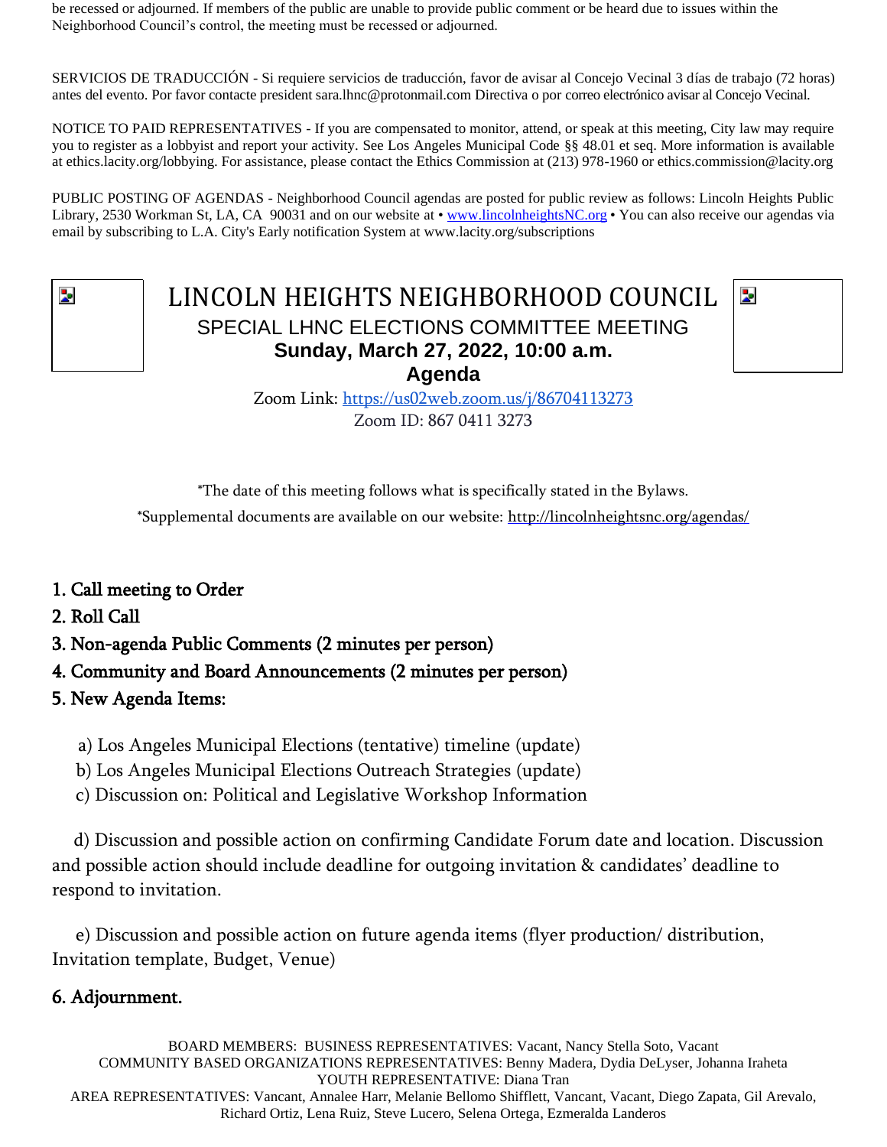be recessed or adjourned. If members of the public are unable to provide public comment or be heard due to issues within the Neighborhood Council's control, the meeting must be recessed or adjourned.

SERVICIOS DE TRADUCCIÓN - Si requiere servicios de traducción, favor de avisar al Concejo Vecinal 3 días de trabajo (72 horas) antes del evento. Por favor contacte president sara.lhnc@protonmail.com Directiva o por correo electrónico avisar al Concejo Vecinal.

NOTICE TO PAID REPRESENTATIVES - If you are compensated to monitor, attend, or speak at this meeting, City law may require you to register as a lobbyist and report your activity. See Los Angeles Municipal Code §§ 48.01 et seq. More information is available at ethics.lacity.org/lobbying. For assistance, please contact the Ethics Commission at (213) 978-1960 or [ethics.commission@lacity.org](mailto:no_reply@apple.com)

PUBLIC POSTING OF AGENDAS - Neighborhood Council agendas are posted for public review as follows: Lincoln Heights Public Library, 2530 Workman St, LA, CA 90031 and on our website at [• www.lincolnheightsNC.org](http://www.lincolnheightsnc.org/) • You can also receive our agendas via email by subscribing to L.A. City's Early notification System at [www.lacity.org/subscriptions](http://www.lacity.org/subscriptions)

## LINCOLN HEIGHTS NEIGHBORHOOD COUNCIL SPECIAL LHNC ELECTIONS COMMITTEE MEETING **Sunday, March 27, 2022, 10:00 a.m. Agenda**



Zoom Link: <https://us02web.zoom.us/j/86704113273> Zoom ID: 867 0411 3273

\*The date of this meeting follows what is specifically stated in the Bylaws.

\*Supplemental documents are available on our website: http://lincolnheightsnc.org/agendas/

- 1. Call meeting to Order
- 2. Roll Call
- 3. Non-agenda Public Comments (2 minutes per person)
- 4. Community and Board Announcements (2 minutes per person)
- 5. New Agenda Items:
	- a) Los Angeles Municipal Elections (tentative) timeline (update)
	- b) Los Angeles Municipal Elections Outreach Strategies (update)
	- c) Discussion on: Political and Legislative Workshop Information

 d) Discussion and possible action on confirming Candidate Forum date and location. Discussion and possible action should include deadline for outgoing invitation & candidates' deadline to respond to invitation.

 e) Discussion and possible action on future agenda items (flyer production/ distribution, Invitation template, Budget, Venue)

## 6. Adjournment.